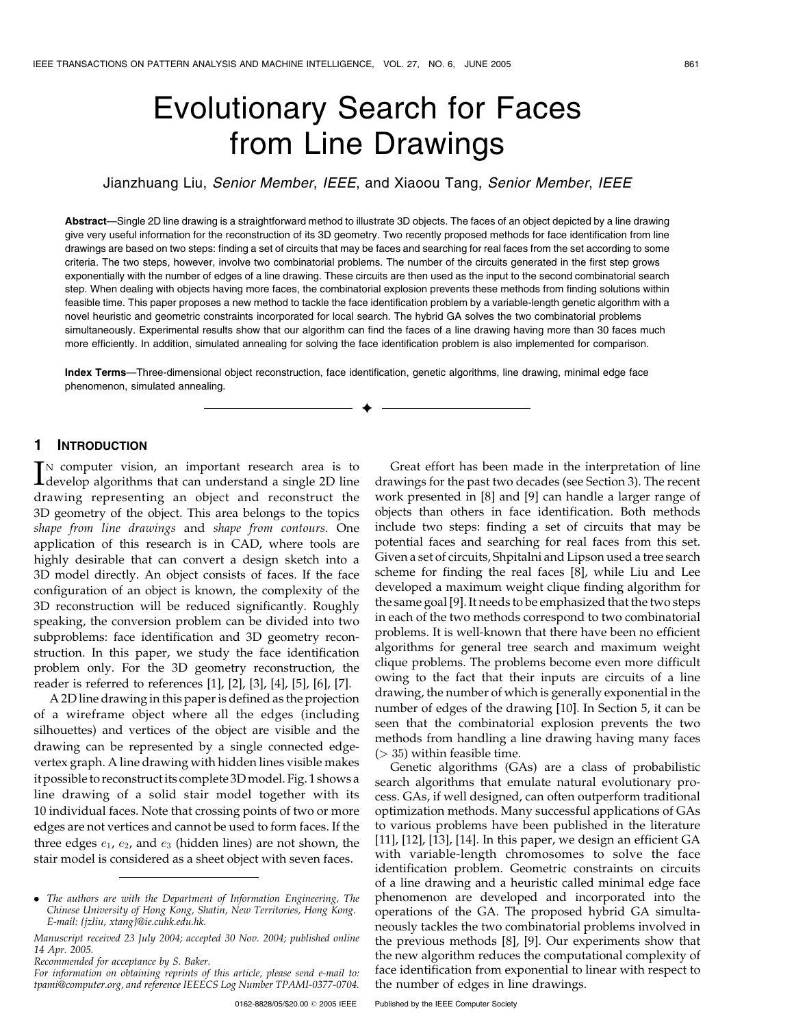# Evolutionary Search for Faces from Line Drawings

Jianzhuang Liu, Senior Member, IEEE, and Xiaoou Tang, Senior Member, IEEE

Abstract—Single 2D line drawing is a straightforward method to illustrate 3D objects. The faces of an object depicted by a line drawing give very useful information for the reconstruction of its 3D geometry. Two recently proposed methods for face identification from line drawings are based on two steps: finding a set of circuits that may be faces and searching for real faces from the set according to some criteria. The two steps, however, involve two combinatorial problems. The number of the circuits generated in the first step grows exponentially with the number of edges of a line drawing. These circuits are then used as the input to the second combinatorial search step. When dealing with objects having more faces, the combinatorial explosion prevents these methods from finding solutions within feasible time. This paper proposes a new method to tackle the face identification problem by a variable-length genetic algorithm with a novel heuristic and geometric constraints incorporated for local search. The hybrid GA solves the two combinatorial problems simultaneously. Experimental results show that our algorithm can find the faces of a line drawing having more than 30 faces much more efficiently. In addition, simulated annealing for solving the face identification problem is also implemented for comparison.

Index Terms—Three-dimensional object reconstruction, face identification, genetic algorithms, line drawing, minimal edge face phenomenon, simulated annealing.

 $\ddotmark$ 

# 1 INTRODUCTION

IN computer vision, an important research area is to develop algorithms that can understand a single 2D line IN computer vision, an important research area is to drawing representing an object and reconstruct the 3D geometry of the object. This area belongs to the topics shape from line drawings and shape from contours. One application of this research is in CAD, where tools are highly desirable that can convert a design sketch into a 3D model directly. An object consists of faces. If the face configuration of an object is known, the complexity of the 3D reconstruction will be reduced significantly. Roughly speaking, the conversion problem can be divided into two subproblems: face identification and 3D geometry reconstruction. In this paper, we study the face identification problem only. For the 3D geometry reconstruction, the reader is referred to references [1], [2], [3], [4], [5], [6], [7].

A 2D line drawing in this paper is defined as the projection of a wireframe object where all the edges (including silhouettes) and vertices of the object are visible and the drawing can be represented by a single connected edgevertex graph. A line drawing with hidden lines visible makes it possible to reconstruct its complete 3Dmodel. Fig. 1 shows a line drawing of a solid stair model together with its 10 individual faces. Note that crossing points of two or more edges are not vertices and cannot be used to form faces. If the three edges  $e_1$ ,  $e_2$ , and  $e_3$  (hidden lines) are not shown, the stair model is considered as a sheet object with seven faces.

Recommended for acceptance by S. Baker.

Great effort has been made in the interpretation of line drawings for the past two decades (see Section 3). The recent work presented in [8] and [9] can handle a larger range of objects than others in face identification. Both methods include two steps: finding a set of circuits that may be potential faces and searching for real faces from this set. Given a set of circuits, Shpitalni and Lipson used a tree search scheme for finding the real faces [8], while Liu and Lee developed a maximum weight clique finding algorithm for the same goal [9]. It needs to be emphasized that the two steps in each of the two methods correspond to two combinatorial problems. It is well-known that there have been no efficient algorithms for general tree search and maximum weight clique problems. The problems become even more difficult owing to the fact that their inputs are circuits of a line drawing, the number of which is generally exponential in the number of edges of the drawing [10]. In Section 5, it can be seen that the combinatorial explosion prevents the two methods from handling a line drawing having many faces  $(> 35)$  within feasible time.

Genetic algorithms (GAs) are a class of probabilistic search algorithms that emulate natural evolutionary process. GAs, if well designed, can often outperform traditional optimization methods. Many successful applications of GAs to various problems have been published in the literature [11], [12], [13], [14]. In this paper, we design an efficient GA with variable-length chromosomes to solve the face identification problem. Geometric constraints on circuits of a line drawing and a heuristic called minimal edge face phenomenon are developed and incorporated into the operations of the GA. The proposed hybrid GA simultaneously tackles the two combinatorial problems involved in the previous methods [8], [9]. Our experiments show that the new algorithm reduces the computational complexity of face identification from exponential to linear with respect to the number of edges in line drawings.

<sup>.</sup> The authors are with the Department of Information Engineering, The Chinese University of Hong Kong, Shatin, New Territories, Hong Kong. E-mail: {jzliu, xtang}@ie.cuhk.edu.hk.

Manuscript received 23 July 2004; accepted 30 Nov. 2004; published online 14 Apr. 2005.

For information on obtaining reprints of this article, please send e-mail to: tpami@computer.org, and reference IEEECS Log Number TPAMI-0377-0704.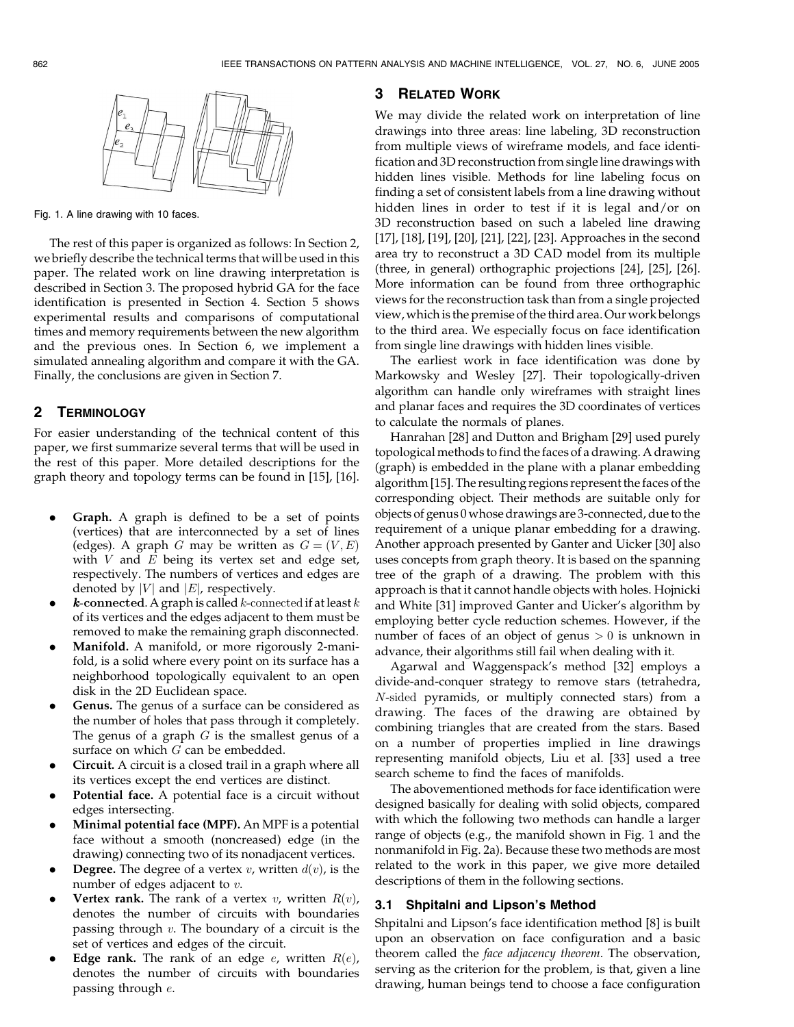

Fig. 1. A line drawing with 10 faces.

The rest of this paper is organized as follows: In Section 2, we briefly describe the technical terms that will be used in this paper. The related work on line drawing interpretation is described in Section 3. The proposed hybrid GA for the face identification is presented in Section 4. Section 5 shows experimental results and comparisons of computational times and memory requirements between the new algorithm and the previous ones. In Section 6, we implement a simulated annealing algorithm and compare it with the GA. Finally, the conclusions are given in Section 7.

# 2 TERMINOLOGY

For easier understanding of the technical content of this paper, we first summarize several terms that will be used in the rest of this paper. More detailed descriptions for the graph theory and topology terms can be found in [15], [16].

- . Graph. A graph is defined to be a set of points (vertices) that are interconnected by a set of lines (edges). A graph G may be written as  $G = (V, E)$ with  $V$  and  $E$  being its vertex set and edge set, respectively. The numbers of vertices and edges are denoted by  $|V|$  and  $|E|$ , respectively.
- **k**-connected. A graph is called k-connected if at least  $k$ of its vertices and the edges adjacent to them must be removed to make the remaining graph disconnected.
- Manifold. A manifold, or more rigorously 2-manifold, is a solid where every point on its surface has a neighborhood topologically equivalent to an open disk in the 2D Euclidean space.
- Genus. The genus of a surface can be considered as the number of holes that pass through it completely. The genus of a graph  $G$  is the smallest genus of a surface on which  $G$  can be embedded.
- . Circuit. A circuit is a closed trail in a graph where all its vertices except the end vertices are distinct.
- Potential face. A potential face is a circuit without edges intersecting.
- . Minimal potential face (MPF). An MPF is a potential face without a smooth (noncreased) edge (in the drawing) connecting two of its nonadjacent vertices.
- **Degree.** The degree of a vertex v, written  $d(v)$ , is the number of edges adjacent to v.
- **Vertex rank.** The rank of a vertex v, written  $R(v)$ , denotes the number of circuits with boundaries passing through  $v$ . The boundary of a circuit is the set of vertices and edges of the circuit.
- Edge rank. The rank of an edge  $e$ , written  $R(e)$ , denotes the number of circuits with boundaries passing through e.

# 3 RELATED WORK

We may divide the related work on interpretation of line drawings into three areas: line labeling, 3D reconstruction from multiple views of wireframe models, and face identification and 3D reconstruction from single line drawings with hidden lines visible. Methods for line labeling focus on finding a set of consistent labels from a line drawing without hidden lines in order to test if it is legal and/or on 3D reconstruction based on such a labeled line drawing [17], [18], [19], [20], [21], [22], [23]. Approaches in the second area try to reconstruct a 3D CAD model from its multiple (three, in general) orthographic projections [24], [25], [26]. More information can be found from three orthographic views for the reconstruction task than from a single projected view, which is the premise of the third area. Our work belongs to the third area. We especially focus on face identification from single line drawings with hidden lines visible.

The earliest work in face identification was done by Markowsky and Wesley [27]. Their topologically-driven algorithm can handle only wireframes with straight lines and planar faces and requires the 3D coordinates of vertices to calculate the normals of planes.

Hanrahan [28] and Dutton and Brigham [29] used purely topological methods to find the faces of a drawing. A drawing (graph) is embedded in the plane with a planar embedding algorithm [15]. The resulting regions represent the faces of the corresponding object. Their methods are suitable only for objects of genus 0 whose drawings are 3-connected, due to the requirement of a unique planar embedding for a drawing. Another approach presented by Ganter and Uicker [30] also uses concepts from graph theory. It is based on the spanning tree of the graph of a drawing. The problem with this approach is that it cannot handle objects with holes. Hojnicki and White [31] improved Ganter and Uicker's algorithm by employing better cycle reduction schemes. However, if the number of faces of an object of genus  $> 0$  is unknown in advance, their algorithms still fail when dealing with it.

Agarwal and Waggenspack's method [32] employs a divide-and-conquer strategy to remove stars (tetrahedra, N-sided pyramids, or multiply connected stars) from a drawing. The faces of the drawing are obtained by combining triangles that are created from the stars. Based on a number of properties implied in line drawings representing manifold objects, Liu et al. [33] used a tree search scheme to find the faces of manifolds.

The abovementioned methods for face identification were designed basically for dealing with solid objects, compared with which the following two methods can handle a larger range of objects (e.g., the manifold shown in Fig. 1 and the nonmanifold in Fig. 2a). Because these two methods are most related to the work in this paper, we give more detailed descriptions of them in the following sections.

# 3.1 Shpitalni and Lipson's Method

Shpitalni and Lipson's face identification method [8] is built upon an observation on face configuration and a basic theorem called the face adjacency theorem. The observation, serving as the criterion for the problem, is that, given a line drawing, human beings tend to choose a face configuration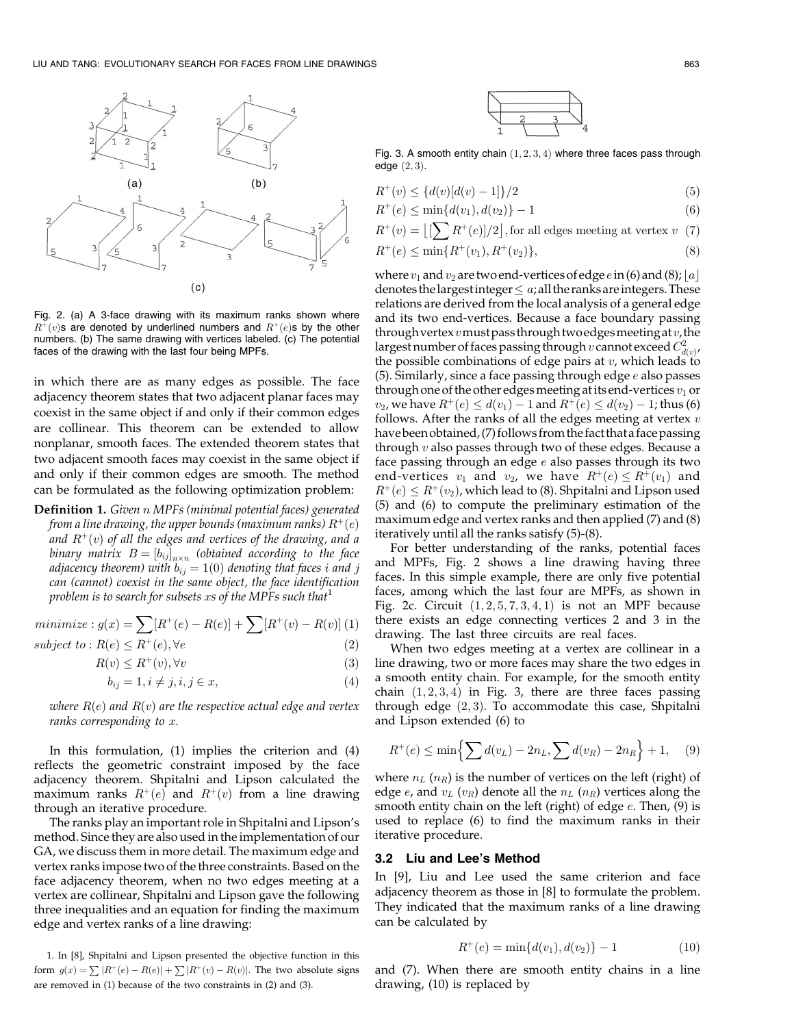

Fig. 2. (a) A 3-face drawing with its maximum ranks shown where  $R^+(v)$ s are denoted by underlined numbers and  $R^+(e)$ s by the other numbers. (b) The same drawing with vertices labeled. (c) The potential faces of the drawing with the last four being MPFs.

in which there are as many edges as possible. The face adjacency theorem states that two adjacent planar faces may coexist in the same object if and only if their common edges are collinear. This theorem can be extended to allow nonplanar, smooth faces. The extended theorem states that two adjacent smooth faces may coexist in the same object if and only if their common edges are smooth. The method can be formulated as the following optimization problem:

**Definition 1.** Given n MPFs (minimal potential faces) generated from a line drawing, the upper bounds (maximum ranks)  $R^+(e)$ and  $R^+(v)$  of all the edges and vertices of the drawing, and a binary matrix  $B=[b_{ij}]_{n\times n}$  (obtained according to the face adjacency theorem) with  $b_{ij} = 1(0)$  denoting that faces i and j can (cannot) coexist in the same object, the face identification problem is to search for subsets xs of the MPFs such that<sup>1</sup>

minimize: 
$$
g(x) = \sum [R^+(e) - R(e)] + \sum [R^+(v) - R(v)]
$$
 (1)

$$
subject\ to\ :R(e)\leq R^+(e),\forall e\ \ \hspace{1cm} (2)
$$

$$
R(v) \le R^+(v), \forall v \tag{3}
$$

$$
b_{ij} = 1, i \neq j, i, j \in x,\tag{4}
$$

where  $R(e)$  and  $R(v)$  are the respective actual edge and vertex ranks corresponding to  $x$ .

In this formulation, (1) implies the criterion and (4) reflects the geometric constraint imposed by the face adjacency theorem. Shpitalni and Lipson calculated the maximum ranks  $R^+(e)$  and  $R^+(v)$  from a line drawing through an iterative procedure.

The ranks play an important role in Shpitalni and Lipson's method. Since they are also used in the implementation of our GA, we discuss them in more detail. The maximum edge and vertex ranks impose two of the three constraints. Based on the face adjacency theorem, when no two edges meeting at a vertex are collinear, Shpitalni and Lipson gave the following three inequalities and an equation for finding the maximum edge and vertex ranks of a line drawing:

1. In [8], Shpitalni and Lipson presented the objective function in this form  $g(x) = \sum |R^+(e) - R(e)| + \sum |R^+(v) - R(v)|$ . The two absolute signs are removed in (1) because of the two constraints in (2) and (3).



Fig. 3. A smooth entity chain  $(1, 2, 3, 4)$  where three faces pass through edge  $(2, 3)$ .

$$
R^{+}(v) \le \{d(v)[d(v) - 1]\}/2\tag{5}
$$

$$
R^{+}(e) \le \min\{d(v_1), d(v_2)\} - 1\tag{6}
$$

$$
R^+(v) = \left[\left(\sum R^+(e)\right)/2\right],
$$
 for all edges meeting at vertex  $v$  (7)

$$
R^+(e) \le \min\{R^+(v_1), R^+(v_2)\},\tag{8}
$$

where  $v_1$  and  $v_2$  are two end-vertices of edge  $e$  in (6) and (8); |a| denotes the largest integer  $\leq a$ ; all the ranks are integers. These relations are derived from the local analysis of a general edge and its two end-vertices. Because a face boundary passing through vertex  $v$  must pass through two edges meeting at  $v$ , the largest number of faces passing through  $v$  cannot exceed  $C_{d(v)}^2$ the possible combinations of edge pairs at  $v$ , which leads to (5). Similarly, since a face passing through edge  $e$  also passes through one of the other edges meeting at its end-vertices  $v_1$  or  $v_2$ , we have  $R^+(e) \leq d(v_1) - 1$  and  $R^+(e) \leq d(v_2) - 1$ ; thus (6) follows. After the ranks of all the edges meeting at vertex  $v$ have been obtained, (7) follows from the fact that a face passing through  $v$  also passes through two of these edges. Because a face passing through an edge  $e$  also passes through its two end-vertices  $v_1$  and  $v_2$ , we have  $R^+(e) \leq R^+(v_1)$  and  $R^+(e) \leq R^+(v_2)$ , which lead to (8). Shpitalni and Lipson used (5) and (6) to compute the preliminary estimation of the maximum edge and vertex ranks and then applied (7) and (8) iteratively until all the ranks satisfy (5)-(8).

For better understanding of the ranks, potential faces and MPFs, Fig. 2 shows a line drawing having three faces. In this simple example, there are only five potential faces, among which the last four are MPFs, as shown in Fig. 2c. Circuit  $(1, 2, 5, 7, 3, 4, 1)$  is not an MPF because there exists an edge connecting vertices 2 and 3 in the drawing. The last three circuits are real faces.

When two edges meeting at a vertex are collinear in a line drawing, two or more faces may share the two edges in a smooth entity chain. For example, for the smooth entity chain  $(1, 2, 3, 4)$  in Fig. 3, there are three faces passing through edge  $(2,3)$ . To accommodate this case, Shpitalni and Lipson extended (6) to

$$
R^{+}(e) \le \min\left\{\sum d(v_L) - 2n_L, \sum d(v_R) - 2n_R\right\} + 1,\quad (9)
$$

where  $n_L$  ( $n_R$ ) is the number of vertices on the left (right) of edge  $e$ , and  $v_L$  ( $v_R$ ) denote all the  $n_L$  ( $n_R$ ) vertices along the smooth entity chain on the left (right) of edge  $e$ . Then,  $(9)$  is used to replace (6) to find the maximum ranks in their iterative procedure.

#### 3.2 Liu and Lee's Method

In [9], Liu and Lee used the same criterion and face adjacency theorem as those in [8] to formulate the problem. They indicated that the maximum ranks of a line drawing can be calculated by

$$
R^{+}(e) = \min\{d(v_1), d(v_2)\} - 1\tag{10}
$$

and (7). When there are smooth entity chains in a line drawing, (10) is replaced by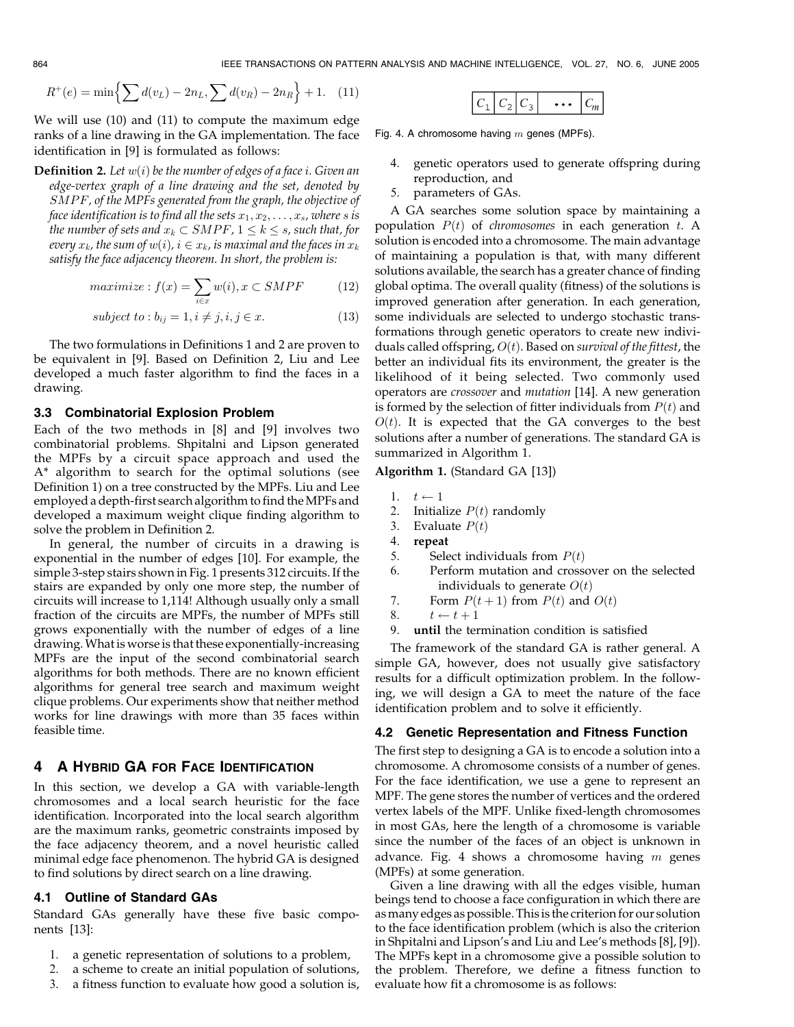$$
R^{+}(e) = \min\left\{\sum d(v_L) - 2n_L, \sum d(v_R) - 2n_R\right\} + 1. \quad (11)
$$

We will use (10) and (11) to compute the maximum edge ranks of a line drawing in the GA implementation. The face identification in [9] is formulated as follows:

**Definition 2.** Let  $w(i)$  be the number of edges of a face i. Given an edge-vertex graph of a line drawing and the set, denoted by SMPF, of the MPFs generated from the graph, the objective of face identification is to find all the sets  $x_1, x_2, \ldots, x_s$ , where s is the number of sets and  $x_k \subset SMPF$ ,  $1 \leq k \leq s$ , such that, for every  $x_k$ , the sum of  $w(i)$ ,  $i \in x_k$ , is maximal and the faces in  $x_k$ satisfy the face adjacency theorem. In short, the problem is:

$$
maximize: f(x) = \sum_{i \in x} w(i), x \subset SMPF \tag{12}
$$

$$
subject\ to: b_{ij} = 1, i \neq j, i, j \in x.
$$
 (13)

The two formulations in Definitions 1 and 2 are proven to be equivalent in [9]. Based on Definition 2, Liu and Lee developed a much faster algorithm to find the faces in a drawing.

#### 3.3 Combinatorial Explosion Problem

Each of the two methods in [8] and [9] involves two combinatorial problems. Shpitalni and Lipson generated the MPFs by a circuit space approach and used the A\* algorithm to search for the optimal solutions (see Definition 1) on a tree constructed by the MPFs. Liu and Lee employed a depth-first search algorithm to find theMPFs and developed a maximum weight clique finding algorithm to solve the problem in Definition 2.

In general, the number of circuits in a drawing is exponential in the number of edges [10]. For example, the simple 3-step stairs shown in Fig. 1 presents 312 circuits. If the stairs are expanded by only one more step, the number of circuits will increase to 1,114! Although usually only a small fraction of the circuits are MPFs, the number of MPFs still grows exponentially with the number of edges of a line drawing.What is worse is that these exponentially-increasing MPFs are the input of the second combinatorial search algorithms for both methods. There are no known efficient algorithms for general tree search and maximum weight clique problems. Our experiments show that neither method works for line drawings with more than 35 faces within feasible time.

## 4 A HYBRID GA FOR FACE IDENTIFICATION

In this section, we develop a GA with variable-length chromosomes and a local search heuristic for the face identification. Incorporated into the local search algorithm are the maximum ranks, geometric constraints imposed by the face adjacency theorem, and a novel heuristic called minimal edge face phenomenon. The hybrid GA is designed to find solutions by direct search on a line drawing.

## 4.1 Outline of Standard GAs

Standard GAs generally have these five basic components [13]:

- 1. a genetic representation of solutions to a problem,
- 2. a scheme to create an initial population of solutions,
- 3. a fitness function to evaluate how good a solution is,

|--|

Fig. 4. A chromosome having  $m$  genes (MPFs).

- 4. genetic operators used to generate offspring during reproduction, and
- 5. parameters of GAs.

A GA searches some solution space by maintaining a population  $P(t)$  of *chromosomes* in each generation  $t$ . A solution is encoded into a chromosome. The main advantage of maintaining a population is that, with many different solutions available, the search has a greater chance of finding global optima. The overall quality (fitness) of the solutions is improved generation after generation. In each generation, some individuals are selected to undergo stochastic transformations through genetic operators to create new individuals called offspring,  $O(t)$ . Based on survival of the fittest, the better an individual fits its environment, the greater is the likelihood of it being selected. Two commonly used operators are crossover and mutation [14]. A new generation is formed by the selection of fitter individuals from  $P(t)$  and  $O(t)$ . It is expected that the GA converges to the best solutions after a number of generations. The standard GA is summarized in Algorithm 1.

# Algorithm 1. (Standard GA [13])

- 1.  $t \leftarrow 1$
- 2. Initialize  $P(t)$  randomly
- 3. Evaluate  $P(t)$
- 4. repeat
- 5. Select individuals from  $P(t)$
- 6. Perform mutation and crossover on the selected individuals to generate  $O(t)$
- 7. Form  $P(t + 1)$  from  $P(t)$  and  $O(t)$
- 8.  $t \leftarrow t + 1$
- 9. until the termination condition is satisfied

The framework of the standard GA is rather general. A simple GA, however, does not usually give satisfactory results for a difficult optimization problem. In the following, we will design a GA to meet the nature of the face identification problem and to solve it efficiently.

# 4.2 Genetic Representation and Fitness Function

The first step to designing a GA is to encode a solution into a chromosome. A chromosome consists of a number of genes. For the face identification, we use a gene to represent an MPF. The gene stores the number of vertices and the ordered vertex labels of the MPF. Unlike fixed-length chromosomes in most GAs, here the length of a chromosome is variable since the number of the faces of an object is unknown in advance. Fig. 4 shows a chromosome having  $m$  genes (MPFs) at some generation.

Given a line drawing with all the edges visible, human beings tend to choose a face configuration in which there are asmany edges as possible. Thisis the criterion for our solution to the face identification problem (which is also the criterion in Shpitalni and Lipson's and Liu and Lee's methods [8], [9]). The MPFs kept in a chromosome give a possible solution to the problem. Therefore, we define a fitness function to evaluate how fit a chromosome is as follows: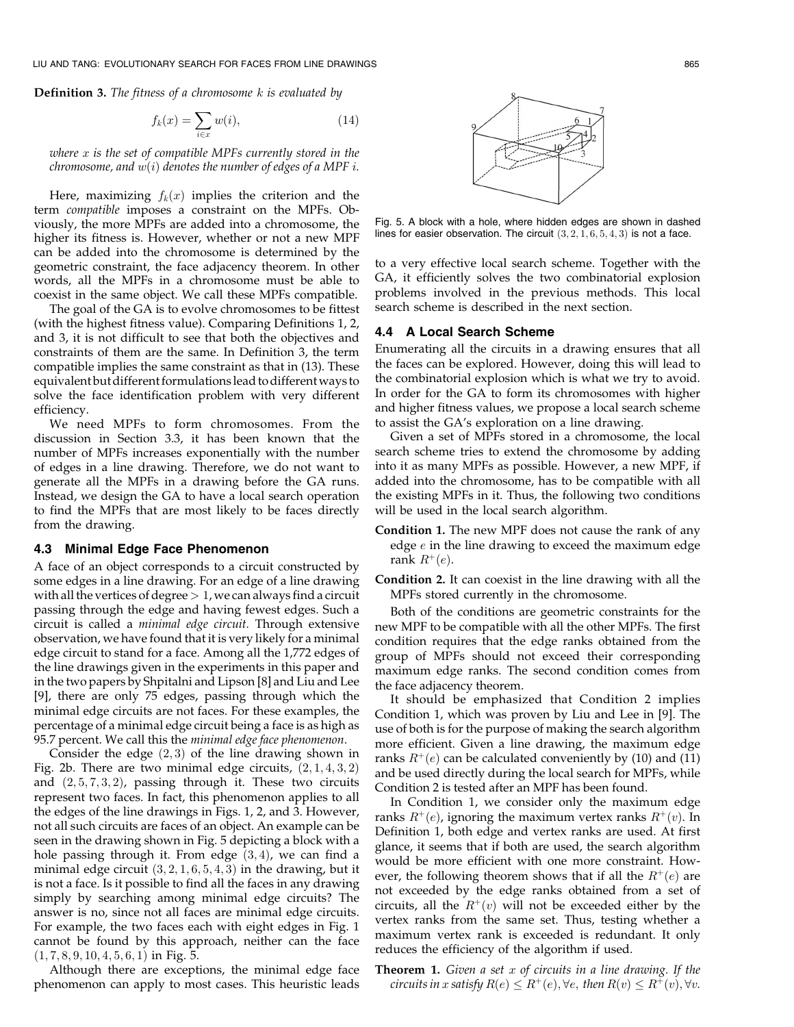LIU AND TANG: EVOLUTIONARY SEARCH FOR FACES FROM LINE DRAWINGS 865

**Definition 3.** The fitness of a chromosome  $k$  is evaluated by

$$
f_k(x) = \sum_{i \in x} w(i),\tag{14}
$$

where  $x$  is the set of compatible MPFs currently stored in the chromosome, and  $w(i)$  denotes the number of edges of a MPF i.

Here, maximizing  $f_k(x)$  implies the criterion and the term compatible imposes a constraint on the MPFs. Obviously, the more MPFs are added into a chromosome, the higher its fitness is. However, whether or not a new MPF can be added into the chromosome is determined by the geometric constraint, the face adjacency theorem. In other words, all the MPFs in a chromosome must be able to coexist in the same object. We call these MPFs compatible.

The goal of the GA is to evolve chromosomes to be fittest (with the highest fitness value). Comparing Definitions 1, 2, and 3, it is not difficult to see that both the objectives and constraints of them are the same. In Definition 3, the term compatible implies the same constraint as that in (13). These equivalent but different formulations lead to different ways to solve the face identification problem with very different efficiency.

We need MPFs to form chromosomes. From the discussion in Section 3.3, it has been known that the number of MPFs increases exponentially with the number of edges in a line drawing. Therefore, we do not want to generate all the MPFs in a drawing before the GA runs. Instead, we design the GA to have a local search operation to find the MPFs that are most likely to be faces directly from the drawing.

#### 4.3 Minimal Edge Face Phenomenon

A face of an object corresponds to a circuit constructed by some edges in a line drawing. For an edge of a line drawing with all the vertices of degree  $>1$ , we can always find a circuit passing through the edge and having fewest edges. Such a circuit is called a minimal edge circuit. Through extensive observation, we have found that it is very likely for a minimal edge circuit to stand for a face. Among all the 1,772 edges of the line drawings given in the experiments in this paper and in the two papers by Shpitalni and Lipson [8] and Liu and Lee [9], there are only 75 edges, passing through which the minimal edge circuits are not faces. For these examples, the percentage of a minimal edge circuit being a face is as high as 95.7 percent. We call this the minimal edge face phenomenon.

Consider the edge  $(2,3)$  of the line drawing shown in Fig. 2b. There are two minimal edge circuits,  $(2, 1, 4, 3, 2)$ and  $(2, 5, 7, 3, 2)$ , passing through it. These two circuits represent two faces. In fact, this phenomenon applies to all the edges of the line drawings in Figs. 1, 2, and 3. However, not all such circuits are faces of an object. An example can be seen in the drawing shown in Fig. 5 depicting a block with a hole passing through it. From edge  $(3, 4)$ , we can find a minimal edge circuit  $(3, 2, 1, 6, 5, 4, 3)$  in the drawing, but it is not a face. Is it possible to find all the faces in any drawing simply by searching among minimal edge circuits? The answer is no, since not all faces are minimal edge circuits. For example, the two faces each with eight edges in Fig. 1 cannot be found by this approach, neither can the face  $(1, 7, 8, 9, 10, 4, 5, 6, 1)$  in Fig. 5.

Although there are exceptions, the minimal edge face phenomenon can apply to most cases. This heuristic leads



Fig. 5. A block with a hole, where hidden edges are shown in dashed lines for easier observation. The circuit  $(3, 2, 1, 6, 5, 4, 3)$  is not a face.

to a very effective local search scheme. Together with the GA, it efficiently solves the two combinatorial explosion problems involved in the previous methods. This local search scheme is described in the next section.

#### 4.4 A Local Search Scheme

Enumerating all the circuits in a drawing ensures that all the faces can be explored. However, doing this will lead to the combinatorial explosion which is what we try to avoid. In order for the GA to form its chromosomes with higher and higher fitness values, we propose a local search scheme to assist the GA's exploration on a line drawing.

Given a set of MPFs stored in a chromosome, the local search scheme tries to extend the chromosome by adding into it as many MPFs as possible. However, a new MPF, if added into the chromosome, has to be compatible with all the existing MPFs in it. Thus, the following two conditions will be used in the local search algorithm.

- Condition 1. The new MPF does not cause the rank of any edge  $e$  in the line drawing to exceed the maximum edge rank  $R^+(e)$ .
- Condition 2. It can coexist in the line drawing with all the MPFs stored currently in the chromosome.

Both of the conditions are geometric constraints for the new MPF to be compatible with all the other MPFs. The first condition requires that the edge ranks obtained from the group of MPFs should not exceed their corresponding maximum edge ranks. The second condition comes from the face adjacency theorem.

It should be emphasized that Condition 2 implies Condition 1, which was proven by Liu and Lee in [9]. The use of both is for the purpose of making the search algorithm more efficient. Given a line drawing, the maximum edge ranks  $R^+(e)$  can be calculated conveniently by (10) and (11) and be used directly during the local search for MPFs, while Condition 2 is tested after an MPF has been found.

In Condition 1, we consider only the maximum edge ranks  $R^+(e)$ , ignoring the maximum vertex ranks  $R^+(v)$ . In Definition 1, both edge and vertex ranks are used. At first glance, it seems that if both are used, the search algorithm would be more efficient with one more constraint. However, the following theorem shows that if all the  $R^+(e)$  are not exceeded by the edge ranks obtained from a set of circuits, all the  $R^+(v)$  will not be exceeded either by the vertex ranks from the same set. Thus, testing whether a maximum vertex rank is exceeded is redundant. It only reduces the efficiency of the algorithm if used.

**Theorem 1.** Given a set  $x$  of circuits in a line drawing. If the circuits in x satisfy  $R(e) \leq R^+(e)$ ,  $\forall e$ , then  $R(v) \leq R^+(v)$ ,  $\forall v$ .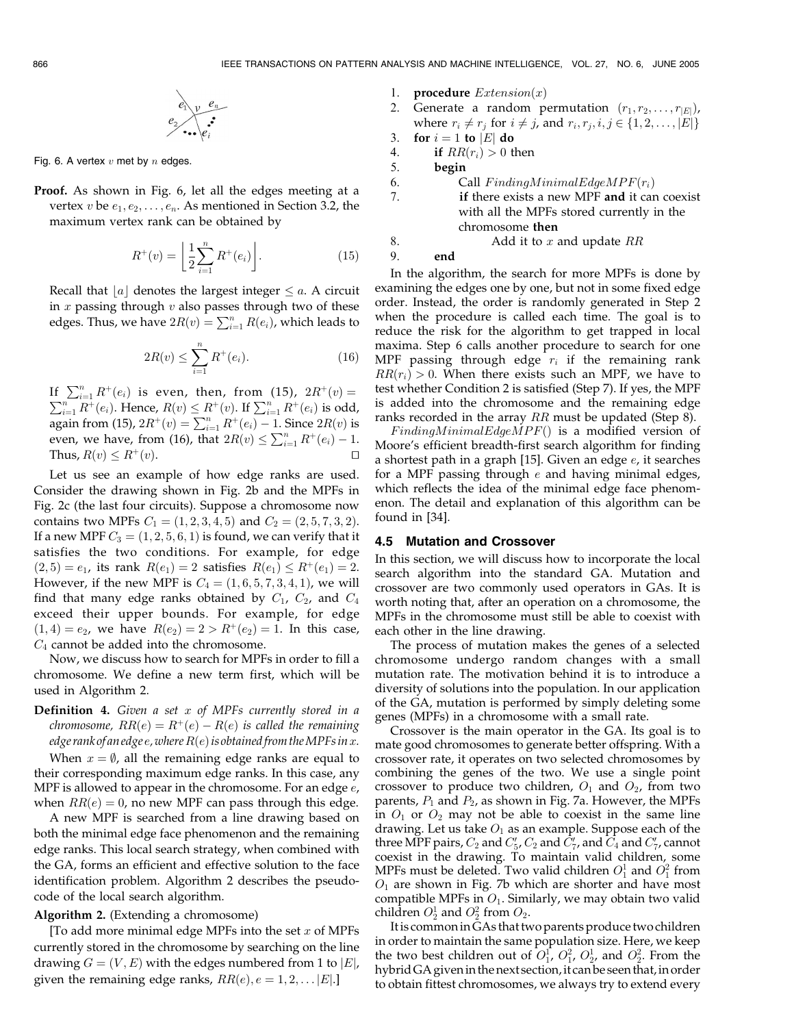$$
e_1 \vee e_n
$$

$$
e_2 \vee \dots \vee e_i
$$

Fig. 6. A vertex  $v$  met by  $n$  edges.

Proof. As shown in Fig. 6, let all the edges meeting at a vertex  $v$  be  $e_1, e_2, \ldots, e_n$ . As mentioned in Section 3.2, the maximum vertex rank can be obtained by

$$
R^{+}(v) = \left[ \frac{1}{2} \sum_{i=1}^{n} R^{+}(e_i) \right].
$$
 (15)

Recall that  $|a|$  denotes the largest integer  $\leq a$ . A circuit in  $x$  passing through  $v$  also passes through two of these edges. Thus, we have  $2R(v) = \sum_{i=1}^{n} R(e_i)$ , which leads to

$$
2R(v) \le \sum_{i=1}^{n} R^{+}(e_i). \tag{16}
$$

If  $\sum_{i=1}^{n} R^{+}(e_i)$  is even, then, from (15),  $2R^{+}(v) =$  $\sum_{i=1}^{n} R^{+}(e_i)$ . Hence,  $R(v) \leq R^{+}(v)$ . If  $\sum_{i=1}^{n} R^{+}(e_i)$  is odd, again from (15),  $2R^+(v) = \sum_{i=1}^{n} R^+(e_i) - 1$ . Since  $2R(v)$  is even, we have, from (16), that  $2R(v) \le \sum_{i=1}^{n} R^{+}(e_i) - 1$ . Thus,  $R(v) \leq R^+(v)$ .

Let us see an example of how edge ranks are used. Consider the drawing shown in Fig. 2b and the MPFs in Fig. 2c (the last four circuits). Suppose a chromosome now contains two MPFs  $C_1 = (1, 2, 3, 4, 5)$  and  $C_2 = (2, 5, 7, 3, 2)$ . If a new MPF  $C_3 = (1, 2, 5, 6, 1)$  is found, we can verify that it satisfies the two conditions. For example, for edge  $Q(2,5) = e_1$ , its rank  $R(e_1) = 2$  satisfies  $R(e_1) \leq R^+(e_1) = 2$ . However, if the new MPF is  $C_4 = (1, 6, 5, 7, 3, 4, 1)$ , we will find that many edge ranks obtained by  $C_1$ ,  $C_2$ , and  $C_4$ exceed their upper bounds. For example, for edge  $(1, 4) = e_2$ , we have  $R(e_2) = 2 > R^+(e_2) = 1$ . In this case,  $C_4$  cannot be added into the chromosome.

Now, we discuss how to search for MPFs in order to fill a chromosome. We define a new term first, which will be used in Algorithm 2.

**Definition 4.** Given a set  $x$  of MPFs currently stored in a chromosome,  $RR(e) = R^+(e) - R(e)$  is called the remaining edge rank of an edge  $e$ , where  $R(e)$  is obtained from the MPFs in x.

When  $x = \emptyset$ , all the remaining edge ranks are equal to their corresponding maximum edge ranks. In this case, any MPF is allowed to appear in the chromosome. For an edge  $e$ , when  $RR(e) = 0$ , no new MPF can pass through this edge.

A new MPF is searched from a line drawing based on both the minimal edge face phenomenon and the remaining edge ranks. This local search strategy, when combined with the GA, forms an efficient and effective solution to the face identification problem. Algorithm 2 describes the pseudocode of the local search algorithm.

## Algorithm 2. (Extending a chromosome)

[To add more minimal edge MPFs into the set  $x$  of MPFs currently stored in the chromosome by searching on the line drawing  $G = (V, E)$  with the edges numbered from 1 to  $|E|$ , given the remaining edge ranks,  $RR(e), e = 1, 2, \ldots |E|$ .

- 1. **procedure**  $Extension(x)$
- 2. Generate a random permutation  $(r_1, r_2, \ldots, r_{|E|})$ , where  $r_i \neq r_j$  for  $i \neq j$ , and  $r_i, r_j, i, j \in \{1, 2, \ldots, |E|\}$

3. for  $i = 1$  to  $|E|$  do

4. if  $RR(r_i) > 0$  then

5. begin

| 6. | Call $FindingMinimalEdgeMPF(r_i)$                   |
|----|-----------------------------------------------------|
| 7. | <b>if there exists a new MPF and it can coexist</b> |
|    | with all the MPFs stored currently in the           |
|    | chromosome then                                     |
| 8. | Add it to $x$ and update $RR$                       |

9. end

In the algorithm, the search for more MPFs is done by examining the edges one by one, but not in some fixed edge order. Instead, the order is randomly generated in Step 2 when the procedure is called each time. The goal is to reduce the risk for the algorithm to get trapped in local maxima. Step 6 calls another procedure to search for one MPF passing through edge  $r_i$  if the remaining rank  $RR(r_i) > 0$ . When there exists such an MPF, we have to test whether Condition 2 is satisfied (Step 7). If yes, the MPF is added into the chromosome and the remaining edge ranks recorded in the array RR must be updated (Step 8).

 $FindingMinimalEdgeMPF()$  is a modified version of Moore's efficient breadth-first search algorithm for finding a shortest path in a graph  $[15]$ . Given an edge  $e$ , it searches for a MPF passing through  $e$  and having minimal edges, which reflects the idea of the minimal edge face phenomenon. The detail and explanation of this algorithm can be found in [34].

#### 4.5 Mutation and Crossover

In this section, we will discuss how to incorporate the local search algorithm into the standard GA. Mutation and crossover are two commonly used operators in GAs. It is worth noting that, after an operation on a chromosome, the MPFs in the chromosome must still be able to coexist with each other in the line drawing.

The process of mutation makes the genes of a selected chromosome undergo random changes with a small mutation rate. The motivation behind it is to introduce a diversity of solutions into the population. In our application of the GA, mutation is performed by simply deleting some genes (MPFs) in a chromosome with a small rate.

Crossover is the main operator in the GA. Its goal is to mate good chromosomes to generate better offspring. With a crossover rate, it operates on two selected chromosomes by combining the genes of the two. We use a single point crossover to produce two children,  $O_1$  and  $O_2$ , from two parents,  $P_1$  and  $P_2$ , as shown in Fig. 7a. However, the MPFs in  $O_1$  or  $O_2$  may not be able to coexist in the same line drawing. Let us take  $O_1$  as an example. Suppose each of the three MPF pairs,  $C_2$  and  $C_5'$ ,  $C_2$  and  $C_7'$ , and  $C_4$  and  $C_7'$ , cannot coexist in the drawing. To maintain valid children, some MPFs must be deleted. Two valid children  $O_1^1$  and  $O_1^2$  from  $O<sub>1</sub>$  are shown in Fig. 7b which are shorter and have most compatible MPFs in  $O_1$ . Similarly, we may obtain two valid children  $O_2^1$  and  $O_2^2$  from  $O_2$ .

Itis commonin GAs that two parents produce two children in order to maintain the same population size. Here, we keep the two best children out of  $O_1^1$ ,  $O_1^2$ ,  $O_2^1$ , and  $O_2^2$ . From the hybrid GA given in the next section, it can be seen that, in order to obtain fittest chromosomes, we always try to extend every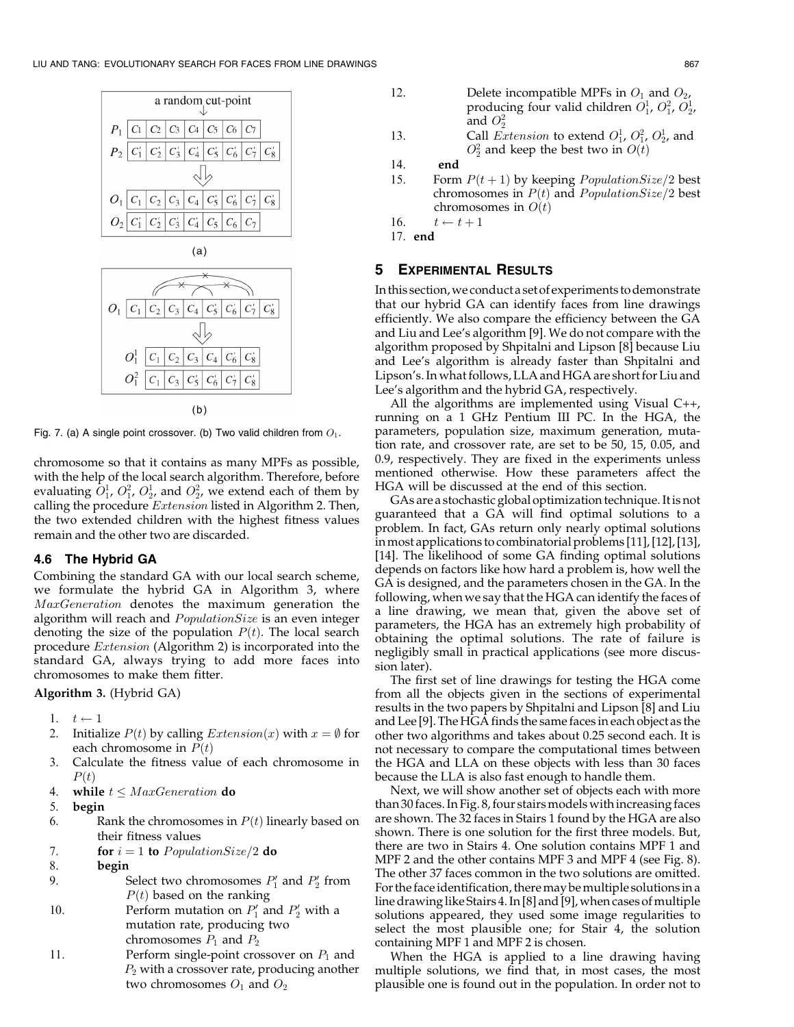



 $(b)$ 

Fig. 7. (a) A single point crossover. (b) Two valid children from  $O_1$ .

chromosome so that it contains as many MPFs as possible, with the help of the local search algorithm. Therefore, before evaluating  $O_1^1$ ,  $O_1^2$ ,  $O_2^1$ , and  $O_2^2$ , we extend each of them by calling the procedure  $Extension$  listed in Algorithm 2. Then, the two extended children with the highest fitness values remain and the other two are discarded.

## 4.6 The Hybrid GA

Combining the standard GA with our local search scheme, we formulate the hybrid GA in Algorithm 3, where MaxGeneration denotes the maximum generation the algorithm will reach and  $PopulationSize$  is an even integer denoting the size of the population  $P(t)$ . The local search procedure Extension (Algorithm 2) is incorporated into the standard GA, always trying to add more faces into chromosomes to make them fitter.

Algorithm 3. (Hybrid GA)

- 1.  $t \leftarrow 1$
- 2. Initialize  $P(t)$  by calling  $Extension(x)$  with  $x = \emptyset$  for each chromosome in  $P(t)$
- 3. Calculate the fitness value of each chromosome in  $P(t)$
- 4. while  $t \leq MaxGeneration$  do
- 5. begin
- 6. Rank the chromosomes in  $P(t)$  linearly based on their fitness values
- 7. **for**  $i = 1$  to PopulationSize/2 do
- 8. begin
- 9. Select two chromosomes  $P'_1$  and  $P'_2$  from  $P(t)$  based on the ranking
- 10. Perform mutation on  $P'_1$  and  $P'_2$  with a mutation rate, producing two chromosomes  $P_1$  and  $P_2$
- 11. Perform single-point crossover on  $P_1$  and  $P_2$  with a crossover rate, producing another two chromosomes  $O_1$  and  $O_2$

\n- 12. Delete incompatible MPFs in 
$$
O_1
$$
 and  $O_2$ , producing four valid children  $O_1^1$ ,  $O_1^2$ ,  $O_2^1$ , and  $O_2^2$
\n- 13. Call *Extension* to extend  $O_1^1$ ,  $O_1^2$ ,  $O_2^1$ , and
\n

$$
O_2^2
$$
 and keep the best two in  $O(t)$ 

14. end

15. Form  $P(t + 1)$  by keeping *PopulationSize*/2 best chromosomes in  $P(t)$  and PopulationSize/2 best chromosomes in  $O(t)$ 

16.  $t \leftarrow t + 1$ 

17. end

# 5 EXPERIMENTAL RESULTS

In this section,we conduct a set of experiments to demonstrate that our hybrid GA can identify faces from line drawings efficiently. We also compare the efficiency between the GA and Liu and Lee's algorithm [9]. We do not compare with the algorithm proposed by Shpitalni and Lipson [8] because Liu and Lee's algorithm is already faster than Shpitalni and Lipson's. In what follows, LLA and HGA are short for Liu and Lee's algorithm and the hybrid GA, respectively.

All the algorithms are implemented using Visual C++, running on a 1 GHz Pentium III PC. In the HGA, the parameters, population size, maximum generation, mutation rate, and crossover rate, are set to be 50, 15, 0.05, and 0.9, respectively. They are fixed in the experiments unless mentioned otherwise. How these parameters affect the HGA will be discussed at the end of this section.

GAs are a stochastic global optimization technique. It is not guaranteed that a GA will find optimal solutions to a problem. In fact, GAs return only nearly optimal solutions inmost applications to combinatorial problems [11], [12], [13], [14]. The likelihood of some GA finding optimal solutions depends on factors like how hard a problem is, how well the GA is designed, and the parameters chosen in the GA. In the following, when we say that the HGA can identify the faces of a line drawing, we mean that, given the above set of parameters, the HGA has an extremely high probability of obtaining the optimal solutions. The rate of failure is negligibly small in practical applications (see more discussion later).

The first set of line drawings for testing the HGA come from all the objects given in the sections of experimental results in the two papers by Shpitalni and Lipson [8] and Liu and Lee [9]. The HGA finds the same facesin each object as the other two algorithms and takes about 0.25 second each. It is not necessary to compare the computational times between the HGA and LLA on these objects with less than 30 faces because the LLA is also fast enough to handle them.

Next, we will show another set of objects each with more than 30 faces. In Fig. 8, four stairs models with increasing faces are shown. The 32 faces in Stairs 1 found by the HGA are also shown. There is one solution for the first three models. But, there are two in Stairs 4. One solution contains MPF 1 and MPF 2 and the other contains MPF 3 and MPF 4 (see Fig. 8). The other 37 faces common in the two solutions are omitted. For the face identification, there may be multiple solutions in a line drawing like Stairs 4. In [8] and [9], when cases of multiple solutions appeared, they used some image regularities to select the most plausible one; for Stair 4, the solution containing MPF 1 and MPF 2 is chosen.

When the HGA is applied to a line drawing having multiple solutions, we find that, in most cases, the most plausible one is found out in the population. In order not to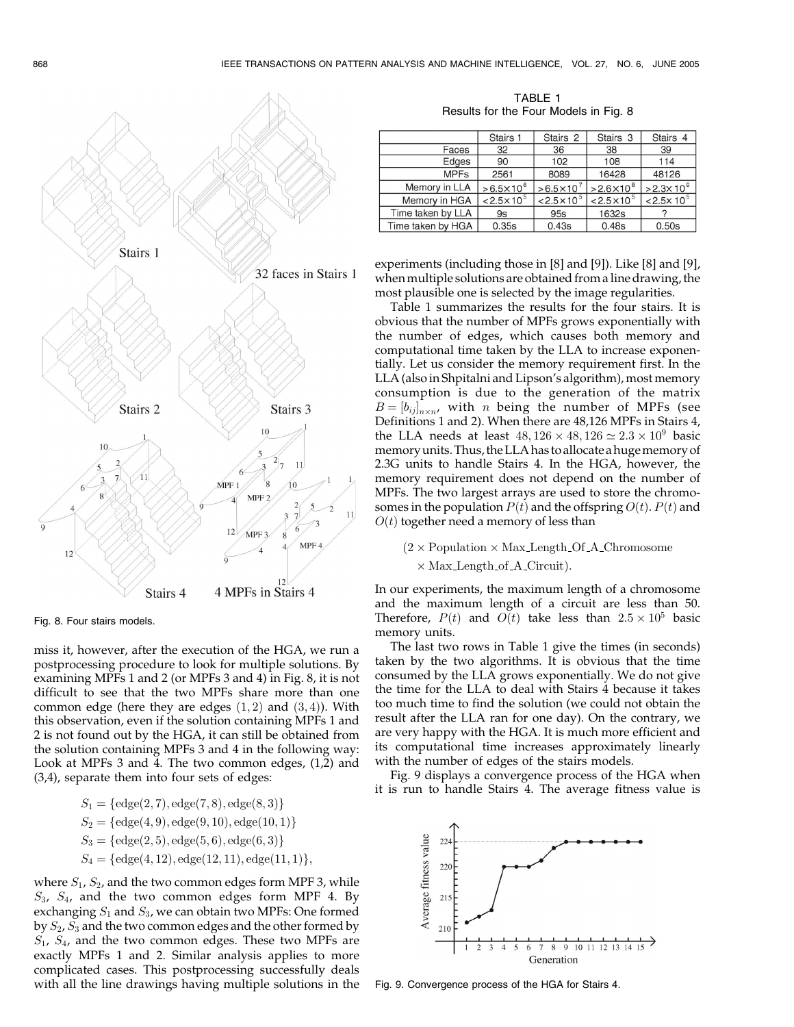

Fig. 8. Four stairs models.

miss it, however, after the execution of the HGA, we run a postprocessing procedure to look for multiple solutions. By examining MPFs 1 and 2 (or MPFs 3 and 4) in Fig. 8, it is not difficult to see that the two MPFs share more than one common edge (here they are edges  $(1, 2)$  and  $(3, 4)$ ). With this observation, even if the solution containing MPFs 1 and 2 is not found out by the HGA, it can still be obtained from the solution containing MPFs 3 and 4 in the following way: Look at MPFs 3 and 4. The two common edges, (1,2) and (3,4), separate them into four sets of edges:

$$
S_1 = \{\text{edge}(2, 7), \text{edge}(7, 8), \text{edge}(8, 3)\}
$$
  
\n
$$
S_2 = \{\text{edge}(4, 9), \text{edge}(9, 10), \text{edge}(10, 1)\}
$$
  
\n
$$
S_3 = \{\text{edge}(2, 5), \text{edge}(5, 6), \text{edge}(6, 3)\}
$$
  
\n
$$
S_4 = \{\text{edge}(4, 12), \text{edge}(12, 11), \text{edge}(11, 1)\},
$$

where  $S_1$ ,  $S_2$ , and the two common edges form MPF 3, while  $S_3$ ,  $S_4$ , and the two common edges form MPF 4. By exchanging  $S_1$  and  $S_3$ , we can obtain two MPFs: One formed by  $S_2$ ,  $S_3$  and the two common edges and the other formed by  $S_1$ ,  $S_4$ , and the two common edges. These two MPFs are exactly MPFs 1 and 2. Similar analysis applies to more complicated cases. This postprocessing successfully deals with all the line drawings having multiple solutions in the

TABLE 1 Results for the Four Models in Fig. 8

|                   | Stairs 1            | Stairs 2              | Stairs 3            | Stairs 4              |
|-------------------|---------------------|-----------------------|---------------------|-----------------------|
| Faces             | 32                  | 36                    | 38                  | 39                    |
| Edges             | 90                  | 102                   | 108                 | 114                   |
| <b>MPFs</b>       | 2561                | 8089                  | 16428               | 48126                 |
| Memory in LLA     | $>6.5\times10^{6}$  | $> 6.5 \times 10^{7}$ | $>2.6\times10^8$    | $>2.3\times10^{9}$    |
| Memory in HGA     | $< 2.5 \times 10^5$ | $< 2.5 \times 10^5$   | $< 2.5 \times 10^5$ | $< 2.5 \times 10^{5}$ |
| Time taken by LLA | 9s                  | 95s                   | 1632s               |                       |
| Time taken by HGA | 0.35s               | 0.43s                 | 0.48s               | 0.50s                 |

experiments (including those in [8] and [9]). Like [8] and [9], when multiple solutions are obtained from a line drawing, the most plausible one is selected by the image regularities.

Table 1 summarizes the results for the four stairs. It is obvious that the number of MPFs grows exponentially with the number of edges, which causes both memory and computational time taken by the LLA to increase exponentially. Let us consider the memory requirement first. In the LLA (also in Shpitalni and Lipson's algorithm), most memory consumption is due to the generation of the matrix  $B=[b_{ij}]_{n\times n}$ , with n being the number of MPFs (see Definitions 1 and 2). When there are 48,126 MPFs in Stairs 4, the LLA needs at least  $48,126 \times 48,126 \simeq 2.3 \times 10^9$  basic memoryunits. Thus, the LLA has to allocate a hugememory of 2.3G units to handle Stairs 4. In the HGA, however, the memory requirement does not depend on the number of MPFs. The two largest arrays are used to store the chromosomes in the population  $P(t)$  and the offspring  $O(t)$ .  $P(t)$  and  $O(t)$  together need a memory of less than

# $(2 \times$  Population  $\times$  Max Length Of A Chromosome  $\times$  Max Length of A Circuit).

In our experiments, the maximum length of a chromosome and the maximum length of a circuit are less than 50. Therefore,  $P(t)$  and  $O(t)$  take less than  $2.5 \times 10^5$  basic memory units.

The last two rows in Table 1 give the times (in seconds) taken by the two algorithms. It is obvious that the time consumed by the LLA grows exponentially. We do not give the time for the LLA to deal with Stairs 4 because it takes too much time to find the solution (we could not obtain the result after the LLA ran for one day). On the contrary, we are very happy with the HGA. It is much more efficient and its computational time increases approximately linearly with the number of edges of the stairs models.

Fig. 9 displays a convergence process of the HGA when it is run to handle Stairs 4. The average fitness value is

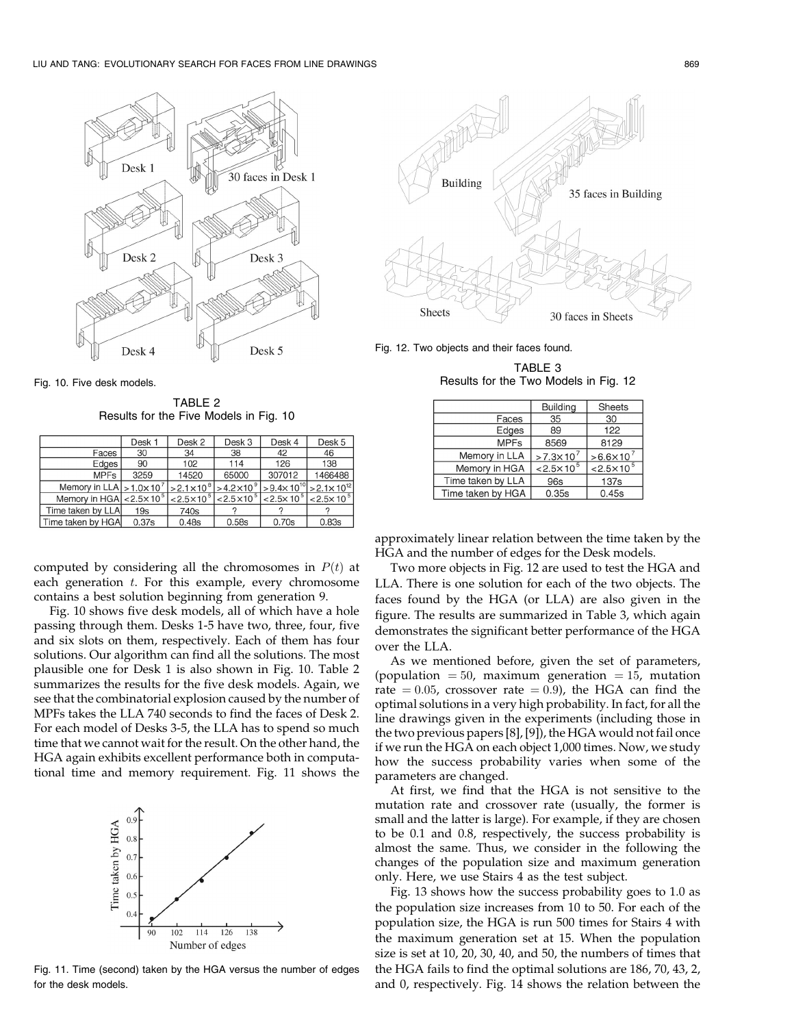



TABLE 2 Results for the Five Models in Fig. 10

|                                                  |             | Desk 1                                               | Desk 2              | Desk 3              | Desk 4                                      | Desk 5  |
|--------------------------------------------------|-------------|------------------------------------------------------|---------------------|---------------------|---------------------------------------------|---------|
|                                                  | Faces       | 30                                                   | 34                  | 38                  | 42                                          | 46      |
|                                                  | Edges       | 90                                                   | 102                 | 114                 | 126                                         | 138     |
|                                                  | <b>MPFs</b> | 3259                                                 | 14520               | 65000               | 307012                                      | 1466488 |
|                                                  |             | Memory in LLA $\vert$ > 1.0 $\times$ 10 <sup>7</sup> | $>2.1\times10^{8}$  | $>4.2\times10^{9}$  | $>9.4\times10^{10}$ $>2.1\times10^{12}$     |         |
| Memory in HGA $ $ < 2.5 $\times$ 10 <sup>5</sup> |             |                                                      | $< 2.5 \times 10^5$ | $< 2.5 \times 10^5$ | $ 2.5 \times 10^{5} $ $ 2.5 \times 10^{5} $ |         |
| Time taken by LLA                                |             | 19s                                                  | 740s                |                     |                                             |         |
| Time taken by HGA                                |             | 0.37s                                                | 0.48s               | 0.58s               | 0.70s                                       | 0.83s   |

computed by considering all the chromosomes in  $P(t)$  at each generation  $t$ . For this example, every chromosome contains a best solution beginning from generation 9.

Fig. 10 shows five desk models, all of which have a hole passing through them. Desks 1-5 have two, three, four, five and six slots on them, respectively. Each of them has four solutions. Our algorithm can find all the solutions. The most plausible one for Desk 1 is also shown in Fig. 10. Table 2 summarizes the results for the five desk models. Again, we see that the combinatorial explosion caused by the number of MPFs takes the LLA 740 seconds to find the faces of Desk 2. For each model of Desks 3-5, the LLA has to spend so much time that we cannot wait for the result. On the other hand, the HGA again exhibits excellent performance both in computational time and memory requirement. Fig. 11 shows the



Fig. 11. Time (second) taken by the HGA versus the number of edges for the desk models.



Fig. 12. Two objects and their faces found.

TABLE 3 Results for the Two Models in Fig. 12

|                   | <b>Building</b>     | <b>Sheets</b>       |
|-------------------|---------------------|---------------------|
| Faces             | 35                  | 30                  |
| Edges             | 89                  | 122                 |
| <b>MPFs</b>       | 8569                | 8129                |
| Memory in LLA     | $>7.3\times10^{7}$  | $>6.6\times10$      |
| Memory in HGA     | $< 2.5 \times 10^5$ | $< 2.5 \times 10^5$ |
| Time taken by LLA | 96s                 | 137s                |
| Time taken by HGA | 0.35s               | 0.45s               |

approximately linear relation between the time taken by the HGA and the number of edges for the Desk models.

Two more objects in Fig. 12 are used to test the HGA and LLA. There is one solution for each of the two objects. The faces found by the HGA (or LLA) are also given in the figure. The results are summarized in Table 3, which again demonstrates the significant better performance of the HGA over the LLA.

As we mentioned before, given the set of parameters, (population  $= 50$ , maximum generation  $= 15$ , mutation rate  $= 0.05$ , crossover rate  $= 0.9$ ), the HGA can find the optimal solutions in a very high probability. In fact, for all the line drawings given in the experiments (including those in the two previous papers [8], [9]), the HGA would not fail once if we run the HGA on each object 1,000 times. Now, we study how the success probability varies when some of the parameters are changed.

At first, we find that the HGA is not sensitive to the mutation rate and crossover rate (usually, the former is small and the latter is large). For example, if they are chosen to be 0.1 and 0.8, respectively, the success probability is almost the same. Thus, we consider in the following the changes of the population size and maximum generation only. Here, we use Stairs 4 as the test subject.

Fig. 13 shows how the success probability goes to 1.0 as the population size increases from 10 to 50. For each of the population size, the HGA is run 500 times for Stairs 4 with the maximum generation set at 15. When the population size is set at 10, 20, 30, 40, and 50, the numbers of times that the HGA fails to find the optimal solutions are 186, 70, 43, 2, and 0, respectively. Fig. 14 shows the relation between the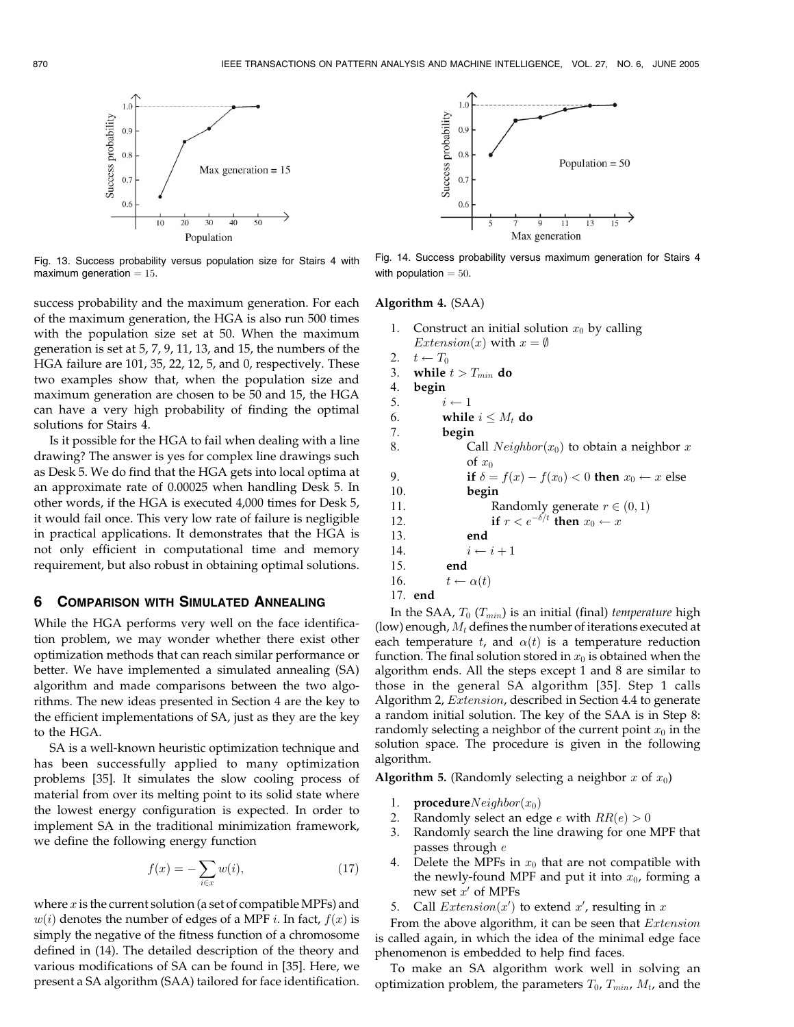

Fig. 13. Success probability versus population size for Stairs 4 with maximum generation  $= 15$ .

success probability and the maximum generation. For each of the maximum generation, the HGA is also run 500 times with the population size set at 50. When the maximum generation is set at 5, 7, 9, 11, 13, and 15, the numbers of the HGA failure are 101, 35, 22, 12, 5, and 0, respectively. These two examples show that, when the population size and maximum generation are chosen to be 50 and 15, the HGA can have a very high probability of finding the optimal solutions for Stairs 4.

Is it possible for the HGA to fail when dealing with a line drawing? The answer is yes for complex line drawings such as Desk 5. We do find that the HGA gets into local optima at an approximate rate of 0.00025 when handling Desk 5. In other words, if the HGA is executed 4,000 times for Desk 5, it would fail once. This very low rate of failure is negligible in practical applications. It demonstrates that the HGA is not only efficient in computational time and memory requirement, but also robust in obtaining optimal solutions.

## 6 COMPARISON WITH SIMULATED ANNEALING

While the HGA performs very well on the face identification problem, we may wonder whether there exist other optimization methods that can reach similar performance or better. We have implemented a simulated annealing (SA) algorithm and made comparisons between the two algorithms. The new ideas presented in Section 4 are the key to the efficient implementations of SA, just as they are the key to the HGA.

SA is a well-known heuristic optimization technique and has been successfully applied to many optimization problems [35]. It simulates the slow cooling process of material from over its melting point to its solid state where the lowest energy configuration is expected. In order to implement SA in the traditional minimization framework, we define the following energy function

$$
f(x) = -\sum_{i \in x} w(i),\tag{17}
$$

where  $x$  is the current solution (a set of compatible MPFs) and  $w(i)$  denotes the number of edges of a MPF *i*. In fact,  $f(x)$  is simply the negative of the fitness function of a chromosome defined in (14). The detailed description of the theory and various modifications of SA can be found in [35]. Here, we present a SA algorithm (SAA) tailored for face identification.



Fig. 14. Success probability versus maximum generation for Stairs 4 with population  $= 50$ .

# Algorithm 4. (SAA)

```
1. Construct an initial solution x_0 by calling
    Extension(x) with x = \emptyset2. t \leftarrow T_0<br>3. while
    while t>T_{min} do
4. begin<br>5. ii \leftarrow 16. while i \leq M_t do
7. begin
8. Call Neighbour(x_0) to obtain a neighbor x
              of x_09. if \delta = f(x) - f(x_0) < 0 then x_0 \leftarrow x else
10. begin
11. Randomly generate r \in (0, 1)12. if r < e^{-\delta/t} then x_0 \leftarrow x13. end
14. i \leftarrow i + 115. end
16. t \leftarrow \alpha(t)17. end
```
In the SAA,  $T_0$  ( $T_{min}$ ) is an initial (final) temperature high (low) enough,  $M_t$  defines the number of iterations executed at each temperature t, and  $\alpha(t)$  is a temperature reduction function. The final solution stored in  $x_0$  is obtained when the algorithm ends. All the steps except 1 and 8 are similar to those in the general SA algorithm [35]. Step 1 calls Algorithm 2, Extension, described in Section 4.4 to generate a random initial solution. The key of the SAA is in Step 8: randomly selecting a neighbor of the current point  $x_0$  in the solution space. The procedure is given in the following algorithm.

**Algorithm 5.** (Randomly selecting a neighbor x of  $x_0$ )

- 1. **procedure** $Neighbour$
- Randomly select an edge *e* with  $RR(e) > 0$
- 3. Randomly search the line drawing for one MPF that passes through e
- 4. Delete the MPFs in  $x_0$  that are not compatible with the newly-found MPF and put it into  $x_0$ , forming a new set  $x'$  of MPFs
- 5. Call  $Extension(x')$  to extend  $x'$ , resulting in  $x$

From the above algorithm, it can be seen that *Extension* is called again, in which the idea of the minimal edge face phenomenon is embedded to help find faces.

To make an SA algorithm work well in solving an optimization problem, the parameters  $T_0$ ,  $T_{min}$ ,  $M_t$ , and the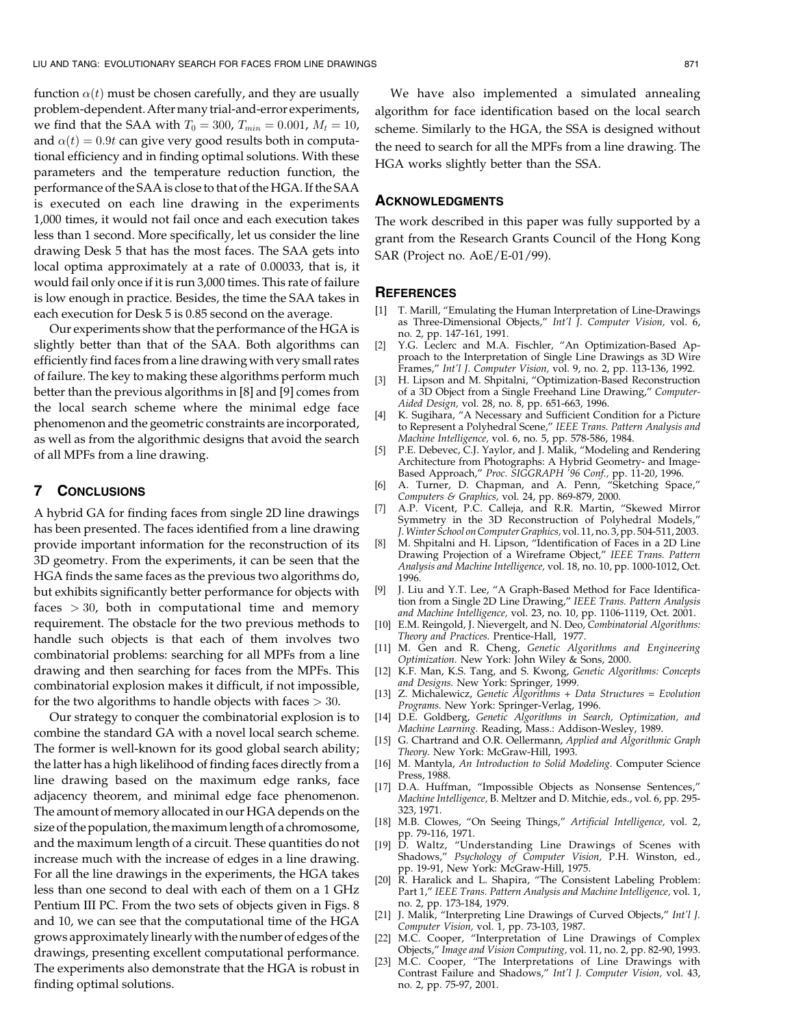function  $\alpha(t)$  must be chosen carefully, and they are usually problem-dependent. Aftermany trial-and-error experiments, we find that the SAA with  $T_0 = 300$ ,  $T_{min} = 0.001$ ,  $M_t = 10$ , and  $\alpha(t) = 0.9t$  can give very good results both in computational efficiency and in finding optimal solutions. With these parameters and the temperature reduction function, the performance of the SAA is close to that of the HGA. If the SAA is executed on each line drawing in the experiments 1,000 times, it would not fail once and each execution takes less than 1 second. More specifically, let us consider the line drawing Desk 5 that has the most faces. The SAA gets into local optima approximately at a rate of 0.00033, that is, it would fail only once if it is run 3,000 times. This rate of failure is low enough in practice. Besides, the time the SAA takes in each execution for Desk 5 is 0.85 second on the average.

Our experiments show that the performance of the HGA is slightly better than that of the SAA. Both algorithms can efficiently find faces from a line drawing with very small rates of failure. The key to making these algorithms perform much better than the previous algorithms in [8] and [9] comes from the local search scheme where the minimal edge face phenomenon and the geometric constraints are incorporated, as well as from the algorithmic designs that avoid the search of all MPFs from a line drawing.

#### 7 CONCLUSIONS

A hybrid GA for finding faces from single 2D line drawings has been presented. The faces identified from a line drawing provide important information for the reconstruction of its 3D geometry. From the experiments, it can be seen that the HGA finds the same faces as the previous two algorithms do, but exhibits significantly better performance for objects with faces  $>$  30, both in computational time and memory requirement. The obstacle for the two previous methods to handle such objects is that each of them involves two combinatorial problems: searching for all MPFs from a line drawing and then searching for faces from the MPFs. This combinatorial explosion makes it difficult, if not impossible, for the two algorithms to handle objects with faces  $>$  30.

Our strategy to conquer the combinatorial explosion is to combine the standard GA with a novel local search scheme. The former is well-known for its good global search ability; the latter has a high likelihood of finding faces directly from a line drawing based on the maximum edge ranks, face adjacency theorem, and minimal edge face phenomenon. The amount of memory allocated in our HGA depends on the size of the population, themaximum length of a chromosome, and the maximum length of a circuit. These quantities do not increase much with the increase of edges in a line drawing. For all the line drawings in the experiments, the HGA takes less than one second to deal with each of them on a 1 GHz Pentium III PC. From the two sets of objects given in Figs. 8 and 10, we can see that the computational time of the HGA grows approximately linearly with the number of edges of the drawings, presenting excellent computational performance. The experiments also demonstrate that the HGA is robust in finding optimal solutions.

We have also implemented a simulated annealing algorithm for face identification based on the local search scheme. Similarly to the HGA, the SSA is designed without the need to search for all the MPFs from a line drawing. The HGA works slightly better than the SSA.

# ACKNOWLEDGMENTS

The work described in this paper was fully supported by a grant from the Research Grants Council of the Hong Kong SAR (Project no. AoE/E-01/99).

#### **REFERENCES**

- [1] T. Marill, "Emulating the Human Interpretation of Line-Drawings as Three-Dimensional Objects," Int'l J. Computer Vision, vol. 6, no. 2, pp. 147-161, 1991.
- [2] Y.G. Leclerc and M.A. Fischler, "An Optimization-Based Approach to the Interpretation of Single Line Drawings as 3D Wire Frames," Int'l J. Computer Vision, vol. 9, no. 2, pp. 113-136, 1992.
- [3] H. Lipson and M. Shpitalni, "Optimization-Based Reconstruction of a 3D Object from a Single Freehand Line Drawing," Computer-Aided Design, vol. 28, no. 8, pp. 651-663, 1996.
- [4] K. Sugihara, "A Necessary and Sufficient Condition for a Picture to Represent a Polyhedral Scene," IEEE Trans. Pattern Analysis and Machine Intelligence, vol. 6, no. 5, pp. 578-586, 1984.
- [5] P.E. Debevec, C.J. Yaylor, and J. Malik, "Modeling and Rendering Architecture from Photographs: A Hybrid Geometry- and Image-Based Approach," Proc. SIGGRAPH '96 Conf., pp. 11-20, 1996.
- [6] A. Turner, D. Chapman, and A. Penn, "Sketching Space," Computers & Graphics, vol. 24, pp. 869-879, 2000.
- [7] A.P. Vicent, P.C. Calleja, and R.R. Martin, "Skewed Mirror Symmetry in the 3D Reconstruction of Polyhedral Models," J.Winter School on Computer Graphics, vol. 11, no. 3, pp. 504-511, 2003.
- [8] M. Shpitalni and H. Lipson, "Identification of Faces in a 2D Line Drawing Projection of a Wireframe Object," IEEE Trans. Pattern Analysis and Machine Intelligence, vol. 18, no. 10, pp. 1000-1012, Oct. 1996.
- [9] J. Liu and Y.T. Lee, "A Graph-Based Method for Face Identification from a Single 2D Line Drawing," IEEE Trans. Pattern Analysis and Machine Intelligence, vol. 23, no. 10, pp. 1106-1119, Oct. 2001.
- [10] E.M. Reingold, J. Nievergelt, and N. Deo, Combinatorial Algorithms: Theory and Practices. Prentice-Hall, 1977.
- [11] M. Gen and R. Cheng, Genetic Algorithms and Engineering Optimization. New York: John Wiley & Sons, 2000.
- [12] K.F. Man, K.S. Tang, and S. Kwong, Genetic Algorithms: Concepts and Designs. New York: Springer, 1999.
- [13] Z. Michalewicz, Genetic Algorithms + Data Structures = Evolution Programs. New York: Springer-Verlag, 1996.
- [14] D.E. Goldberg, Genetic Algorithms in Search, Optimization, and Machine Learning. Reading, Mass.: Addison-Wesley, 1989.
- [15] G. Chartrand and O.R. Oellermann, Applied and Algorithmic Graph Theory. New York: McGraw-Hill, 1993.
- [16] M. Mantyla, An Introduction to Solid Modeling. Computer Science Press, 1988.
- [17] D.A. Huffman, "Impossible Objects as Nonsense Sentences," Machine Intelligence, B. Meltzer and D. Mitchie, eds., vol. 6, pp. 295- 323, 1971.
- [18] M.B. Clowes, "On Seeing Things," Artificial Intelligence, vol. 2, pp. 79-116, 1971.
- [19] D. Waltz, "Understanding Line Drawings of Scenes with Shadows," Psychology of Computer Vision, P.H. Winston, ed., pp. 19-91, New York: McGraw-Hill, 1975.
- [20] R. Haralick and L. Shapira, "The Consistent Labeling Problem: Part 1," IEEE Trans. Pattern Analysis and Machine Intelligence, vol. 1, no. 2, pp. 173-184, 1979.
- [21] J. Malik, "Interpreting Line Drawings of Curved Objects," Int'l J. Computer Vision, vol. 1, pp. 73-103, 1987.
- [22] M.C. Cooper, "Interpretation of Line Drawings of Complex Objects," Image and Vision Computing, vol. 11, no. 2, pp. 82-90, 1993.
- M.C. Cooper, "The Interpretations of Line Drawings with Contrast Failure and Shadows," Int'l J. Computer Vision, vol. 43, no. 2, pp. 75-97, 2001.